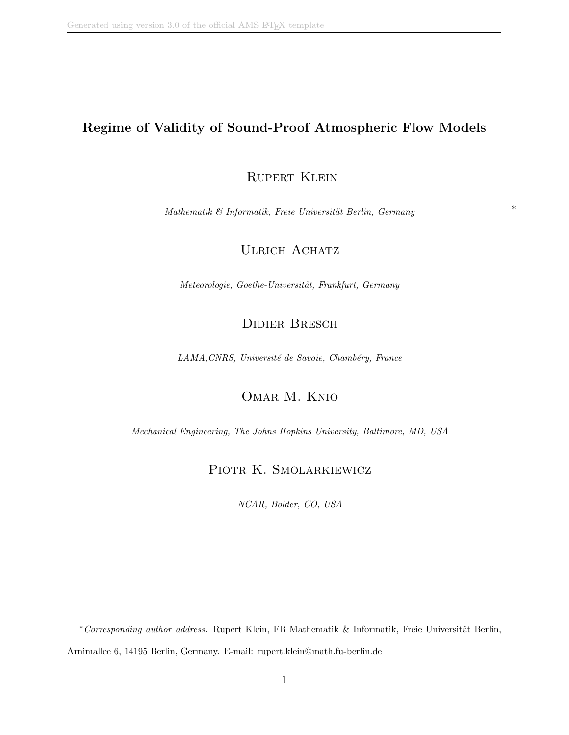### Regime of Validity of Sound-Proof Atmospheric Flow Models

### RUPERT KLEIN

 $Mathematik \& Informatik, Freie University of Berlin, Germany$  \*

### ULRICH ACHATZ

Meteorologie, Goethe-Universität, Frankfurt, Germany

# Didier Bresch

LAMA, CNRS, Université de Savoie, Chambéry, France

# Omar M. Knio

Mechanical Engineering, The Johns Hopkins University, Baltimore, MD, USA

### PIOTR K. SMOLARKIEWICZ

NCAR, Bolder, CO, USA

<sup>\*</sup> Corresponding author address: Rupert Klein, FB Mathematik & Informatik, Freie Universität Berlin, Arnimallee 6, 14195 Berlin, Germany. E-mail: rupert.klein@math.fu-berlin.de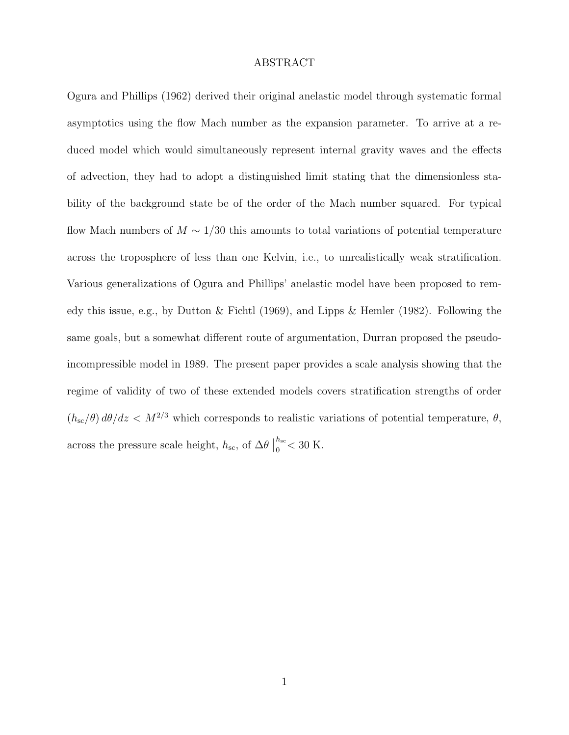#### ABSTRACT

Ogura and Phillips (1962) derived their original anelastic model through systematic formal asymptotics using the flow Mach number as the expansion parameter. To arrive at a reduced model which would simultaneously represent internal gravity waves and the effects of advection, they had to adopt a distinguished limit stating that the dimensionless stability of the background state be of the order of the Mach number squared. For typical flow Mach numbers of  $M \sim 1/30$  this amounts to total variations of potential temperature across the troposphere of less than one Kelvin, i.e., to unrealistically weak stratification. Various generalizations of Ogura and Phillips' anelastic model have been proposed to remedy this issue, e.g., by Dutton & Fichtl (1969), and Lipps & Hemler (1982). Following the same goals, but a somewhat different route of argumentation, Durran proposed the pseudoincompressible model in 1989. The present paper provides a scale analysis showing that the regime of validity of two of these extended models covers stratification strengths of order  $(h_{\rm sc}/\theta) d\theta/dz < M^{2/3}$  which corresponds to realistic variations of potential temperature,  $\theta$ , across the pressure scale height,  $h_\mathrm{sc,}$  of  $\Delta\theta$  $h_{\rm sc}$  $_{0}^{\prime\prime\prime}$  < 30 K.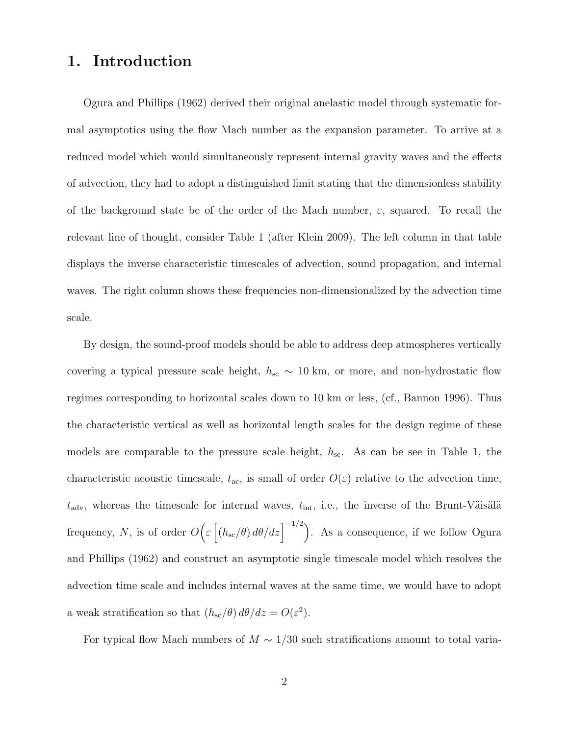# 1. Introduction

Ogura and Phillips (1962) derived their original anelastic model through systematic formal asymptotics using the flow Mach number as the expansion parameter. To arrive at a reduced model which would simultaneously represent internal gravity waves and the effects of advection, they had to adopt a distinguished limit stating that the dimensionless stability of the background state be of the order of the Mach number,  $\varepsilon$ , squared. To recall the relevant line of thought, consider Table 1 (after Klein 2009). The left column in that table displays the inverse characteristic timescales of advection, sound propagation, and internal waves. The right column shows these frequencies non-dimensionalized by the advection time scale.

By design, the sound-proof models should be able to address deep atmospheres vertically covering a typical pressure scale height,  $h_{\rm sc} \sim 10 \text{ km}$ , or more, and non-hydrostatic flow regimes corresponding to horizontal scales down to 10 km or less, (cf., Bannon 1996). Thus the characteristic vertical as well as horizontal length scales for the design regime of these models are comparable to the pressure scale height,  $h_{\rm sc}$ . As can be see in Table 1, the characteristic acoustic timescale,  $t_{\text{ac}}$ , is small of order  $O(\varepsilon)$  relative to the advection time,  $t_{\text{adv}}$ , whereas the timescale for internal waves,  $t_{\text{int}}$ , i.e., the inverse of the Brunt-Väisälä frequency, N, is of order  $O\left(\varepsilon\left[\left(h_{\rm sc}/\theta\right)d\theta/dz\right]^{-1/2}\right)$ . As a consequence, if we follow Ogura and Phillips (1962) and construct an asymptotic single timescale model which resolves the advection time scale and includes internal waves at the same time, we would have to adopt a weak stratification so that  $(h_{\rm sc}/\theta) d\theta/dz = O(\varepsilon^2)$ .

For typical flow Mach numbers of  $M \sim 1/30$  such stratifications amount to total varia-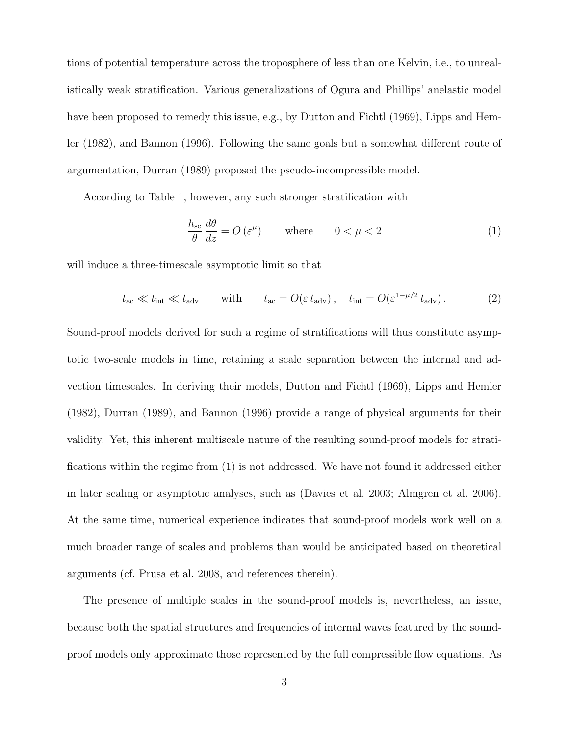tions of potential temperature across the troposphere of less than one Kelvin, i.e., to unrealistically weak stratification. Various generalizations of Ogura and Phillips' anelastic model have been proposed to remedy this issue, e.g., by Dutton and Fichtl (1969), Lipps and Hemler (1982), and Bannon (1996). Following the same goals but a somewhat different route of argumentation, Durran (1989) proposed the pseudo-incompressible model.

According to Table 1, however, any such stronger stratification with

$$
\frac{h_{\rm sc}}{\theta} \frac{d\theta}{dz} = O\left(\varepsilon^{\mu}\right) \qquad \text{where} \qquad 0 < \mu < 2 \tag{1}
$$

will induce a three-timescale asymptotic limit so that

$$
t_{\rm ac} \ll t_{\rm int} \ll t_{\rm adv}
$$
 with  $t_{\rm ac} = O(\varepsilon t_{\rm adv}), t_{\rm int} = O(\varepsilon^{1-\mu/2} t_{\rm adv}).$  (2)

Sound-proof models derived for such a regime of stratifications will thus constitute asymptotic two-scale models in time, retaining a scale separation between the internal and advection timescales. In deriving their models, Dutton and Fichtl (1969), Lipps and Hemler (1982), Durran (1989), and Bannon (1996) provide a range of physical arguments for their validity. Yet, this inherent multiscale nature of the resulting sound-proof models for stratifications within the regime from (1) is not addressed. We have not found it addressed either in later scaling or asymptotic analyses, such as (Davies et al. 2003; Almgren et al. 2006). At the same time, numerical experience indicates that sound-proof models work well on a much broader range of scales and problems than would be anticipated based on theoretical arguments (cf. Prusa et al. 2008, and references therein).

The presence of multiple scales in the sound-proof models is, nevertheless, an issue, because both the spatial structures and frequencies of internal waves featured by the soundproof models only approximate those represented by the full compressible flow equations. As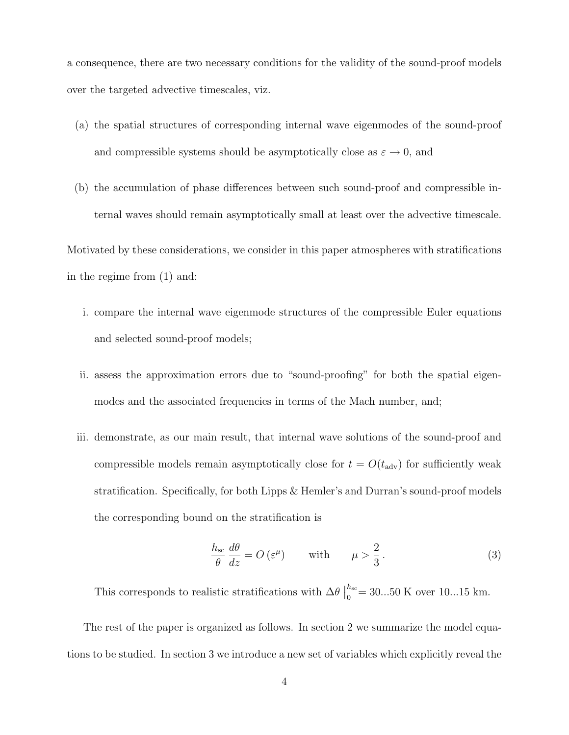a consequence, there are two necessary conditions for the validity of the sound-proof models over the targeted advective timescales, viz.

- (a) the spatial structures of corresponding internal wave eigenmodes of the sound-proof and compressible systems should be asymptotically close as  $\varepsilon \to 0$ , and
- (b) the accumulation of phase differences between such sound-proof and compressible internal waves should remain asymptotically small at least over the advective timescale.

Motivated by these considerations, we consider in this paper atmospheres with stratifications in the regime from (1) and:

- i. compare the internal wave eigenmode structures of the compressible Euler equations and selected sound-proof models;
- ii. assess the approximation errors due to "sound-proofing" for both the spatial eigenmodes and the associated frequencies in terms of the Mach number, and;
- iii. demonstrate, as our main result, that internal wave solutions of the sound-proof and compressible models remain asymptotically close for  $t = O(t_{\text{adv}})$  for sufficiently weak stratification. Specifically, for both Lipps & Hemler's and Durran's sound-proof models the corresponding bound on the stratification is

$$
\frac{h_{\rm sc}}{\theta} \frac{d\theta}{dz} = O\left(\varepsilon^{\mu}\right) \qquad \text{with} \qquad \mu > \frac{2}{3} \,. \tag{3}
$$

This corresponds to realistic stratifications with  $\Delta\theta$  $h_{\rm sc}$  $_{0}^{n_{\rm sc}}$  = 30...50 K over 10...15 km.

The rest of the paper is organized as follows. In section 2 we summarize the model equations to be studied. In section 3 we introduce a new set of variables which explicitly reveal the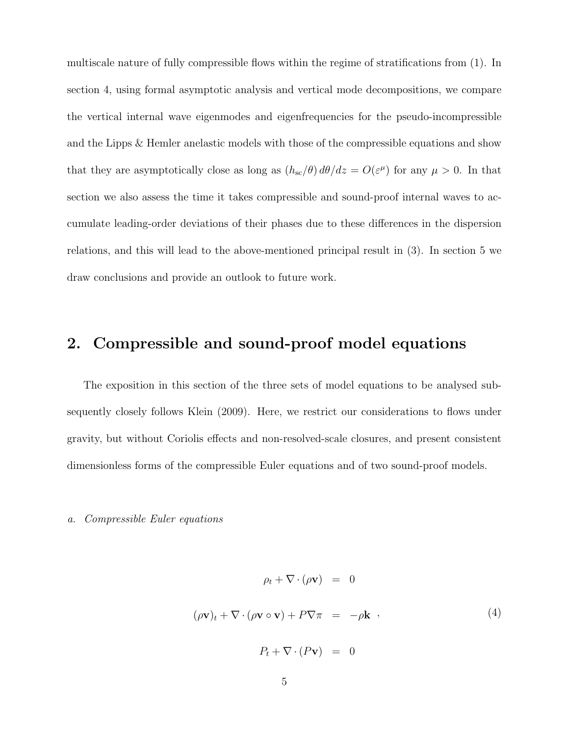multiscale nature of fully compressible flows within the regime of stratifications from (1). In section 4, using formal asymptotic analysis and vertical mode decompositions, we compare the vertical internal wave eigenmodes and eigenfrequencies for the pseudo-incompressible and the Lipps & Hemler anelastic models with those of the compressible equations and show that they are asymptotically close as long as  $(h_{\rm sc}/\theta) d\theta/dz = O(\varepsilon^{\mu})$  for any  $\mu > 0$ . In that section we also assess the time it takes compressible and sound-proof internal waves to accumulate leading-order deviations of their phases due to these differences in the dispersion relations, and this will lead to the above-mentioned principal result in (3). In section 5 we draw conclusions and provide an outlook to future work.

# 2. Compressible and sound-proof model equations

The exposition in this section of the three sets of model equations to be analysed subsequently closely follows Klein (2009). Here, we restrict our considerations to flows under gravity, but without Coriolis effects and non-resolved-scale closures, and present consistent dimensionless forms of the compressible Euler equations and of two sound-proof models.

#### a. Compressible Euler equations

$$
\rho_t + \nabla \cdot (\rho \mathbf{v}) = 0
$$
  

$$
(\rho \mathbf{v})_t + \nabla \cdot (\rho \mathbf{v} \circ \mathbf{v}) + P \nabla \pi = -\rho \mathbf{k} , \qquad (4)
$$
  

$$
P_t + \nabla \cdot (P \mathbf{v}) = 0
$$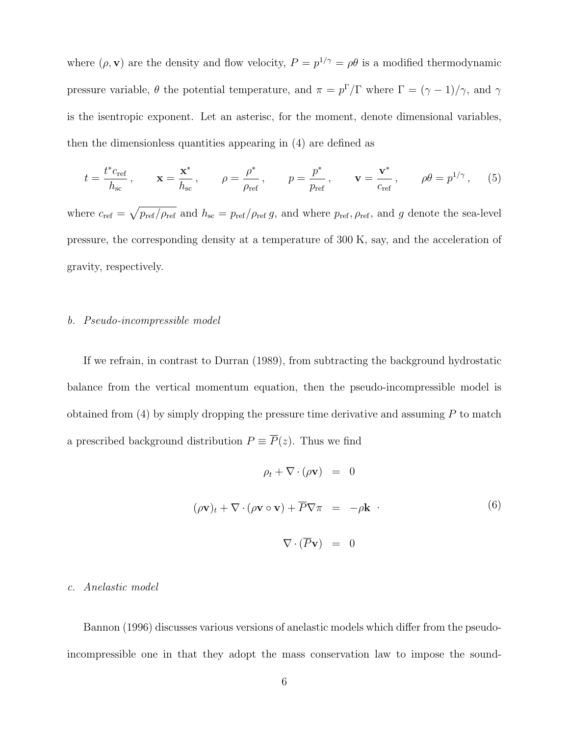where  $(\rho, \mathbf{v})$  are the density and flow velocity,  $P = p^{1/\gamma} = \rho \theta$  is a modified thermodynamic pressure variable,  $\theta$  the potential temperature, and  $\pi = p^{\Gamma}/\Gamma$  where  $\Gamma = (\gamma - 1)/\gamma$ , and  $\gamma$ is the isentropic exponent. Let an asterisc, for the moment, denote dimensional variables, then the dimensionless quantities appearing in (4) are defined as

$$
t = \frac{t^* c_{\text{ref}}}{h_{\text{sc}}}, \qquad \mathbf{x} = \frac{\mathbf{x}^*}{h_{\text{sc}}}, \qquad \rho = \frac{\rho^*}{\rho_{\text{ref}}}, \qquad p = \frac{p^*}{p_{\text{ref}}}, \qquad \mathbf{v} = \frac{\mathbf{v}^*}{c_{\text{ref}}}, \qquad \rho \theta = p^{1/\gamma}, \qquad (5)
$$

where  $c_{\text{ref}} = \sqrt{p_{\text{ref}}/\rho_{\text{ref}}}$  and  $h_{\text{sc}} = p_{\text{ref}}/\rho_{\text{ref}} g$ , and where  $p_{\text{ref}}$ ,  $\rho_{\text{ref}}$ , and g denote the sea-level pressure, the corresponding density at a temperature of 300 K, say, and the acceleration of gravity, respectively.

#### b. Pseudo-incompressible model

If we refrain, in contrast to Durran (1989), from subtracting the background hydrostatic balance from the vertical momentum equation, then the pseudo-incompressible model is obtained from  $(4)$  by simply dropping the pressure time derivative and assuming  $P$  to match a prescribed background distribution  $P \equiv \overline{P}(z)$ . Thus we find

$$
\rho_t + \nabla \cdot (\rho \mathbf{v}) = 0
$$
  

$$
(\rho \mathbf{v})_t + \nabla \cdot (\rho \mathbf{v} \circ \mathbf{v}) + \overline{P} \nabla \pi = -\rho \mathbf{k} \tag{6}
$$
  

$$
\nabla \cdot (\overline{P} \mathbf{v}) = 0
$$

#### c. Anelastic model

Bannon (1996) discusses various versions of anelastic models which differ from the pseudoincompressible one in that they adopt the mass conservation law to impose the sound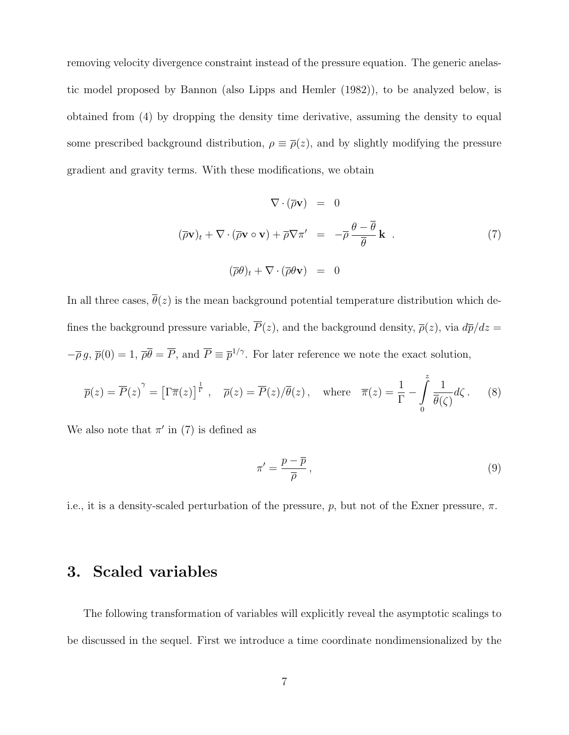removing velocity divergence constraint instead of the pressure equation. The generic anelastic model proposed by Bannon (also Lipps and Hemler (1982)), to be analyzed below, is obtained from (4) by dropping the density time derivative, assuming the density to equal some prescribed background distribution,  $\rho \equiv \bar{\rho}(z)$ , and by slightly modifying the pressure gradient and gravity terms. With these modifications, we obtain

$$
\nabla \cdot (\overline{\rho} \mathbf{v}) = 0
$$
  

$$
(\overline{\rho} \mathbf{v})_t + \nabla \cdot (\overline{\rho} \mathbf{v} \circ \mathbf{v}) + \overline{\rho} \nabla \pi' = -\overline{\rho} \frac{\theta - \overline{\theta}}{\overline{\theta}} \mathbf{k}.
$$
  

$$
(\overline{\rho} \theta)_t + \nabla \cdot (\overline{\rho} \theta \mathbf{v}) = 0
$$
 (7)

In all three cases,  $\overline{\theta}(z)$  is the mean background potential temperature distribution which defines the background pressure variable,  $\overline{P}(z)$ , and the background density,  $\overline{\rho}(z)$ , via  $d\overline{p}/dz =$  $-\overline{\rho} g$ ,  $\overline{p}(0) = 1$ ,  $\overline{\rho} \overline{\theta} = \overline{P}$ , and  $\overline{P} \equiv \overline{p}^{1/\gamma}$ . For later reference we note the exact solution,

$$
\overline{p}(z) = \overline{P}(z)^{\gamma} = \left[\Gamma \overline{\pi}(z)\right]^{\frac{1}{\Gamma}}, \quad \overline{\rho}(z) = \overline{P}(z)/\overline{\theta}(z), \quad \text{where} \quad \overline{\pi}(z) = \frac{1}{\Gamma} - \int_{0}^{z} \frac{1}{\overline{\theta}(\zeta)} d\zeta. \tag{8}
$$

We also note that  $\pi'$  in (7) is defined as

$$
\pi' = \frac{p - \overline{p}}{\overline{\rho}},\tag{9}
$$

i.e., it is a density-scaled perturbation of the pressure, p, but not of the Exner pressure,  $\pi$ .

## 3. Scaled variables

The following transformation of variables will explicitly reveal the asymptotic scalings to be discussed in the sequel. First we introduce a time coordinate nondimensionalized by the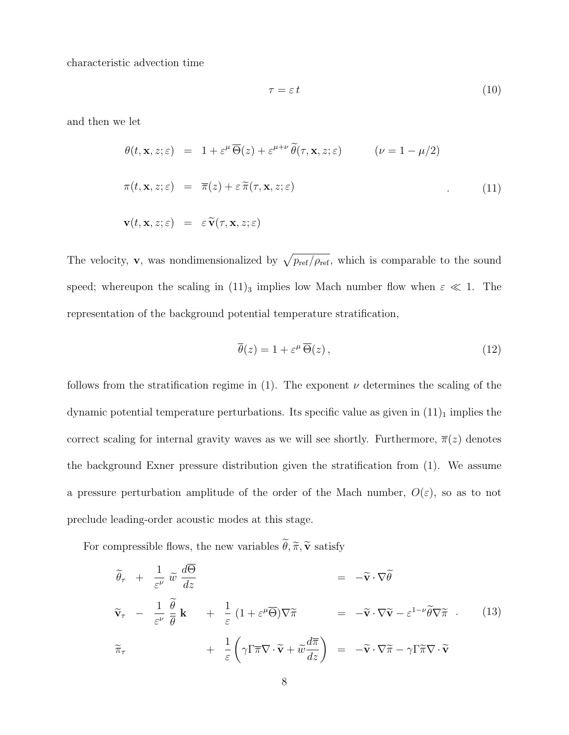characteristic advection time

$$
\tau = \varepsilon \, t \tag{10}
$$

and then we let

$$
\theta(t, \mathbf{x}, z; \varepsilon) = 1 + \varepsilon^{\mu} \overline{\Theta}(z) + \varepsilon^{\mu + \nu} \widetilde{\theta}(\tau, \mathbf{x}, z; \varepsilon) \qquad (\nu = 1 - \mu/2)
$$
  

$$
\pi(t, \mathbf{x}, z; \varepsilon) = \overline{\pi}(z) + \varepsilon \widetilde{\pi}(\tau, \mathbf{x}, z; \varepsilon) \qquad (11)
$$
  

$$
\mathbf{v}(t, \mathbf{x}, z; \varepsilon) = \varepsilon \widetilde{\mathbf{v}}(\tau, \mathbf{x}, z; \varepsilon)
$$

The velocity, **v**, was nondimensionalized by  $\sqrt{p_{ref}/\rho_{ref}}$ , which is comparable to the sound speed; whereupon the scaling in (11)<sub>3</sub> implies low Mach number flow when  $\varepsilon \ll 1$ . The representation of the background potential temperature stratification,

$$
\overline{\theta}(z) = 1 + \varepsilon^{\mu} \overline{\Theta}(z), \qquad (12)
$$

follows from the stratification regime in (1). The exponent  $\nu$  determines the scaling of the dynamic potential temperature perturbations. Its specific value as given in  $(11)<sub>1</sub>$  implies the correct scaling for internal gravity waves as we will see shortly. Furthermore,  $\overline{\pi}(z)$  denotes the background Exner pressure distribution given the stratification from (1). We assume a pressure perturbation amplitude of the order of the Mach number,  $O(\varepsilon)$ , so as to not preclude leading-order acoustic modes at this stage.

For compressible flows, the new variables  $\widetilde{\theta}, \widetilde{\pi}, \widetilde{\mathbf{v}}$  satisfy

$$
\widetilde{\theta}_{\tau} + \frac{1}{\varepsilon^{\nu}} \widetilde{w} \frac{d\overline{\Theta}}{dz} = -\widetilde{\mathbf{v}} \cdot \nabla \widetilde{\theta}
$$
\n
$$
\widetilde{\mathbf{v}}_{\tau} - \frac{1}{\varepsilon^{\nu}} \frac{\widetilde{\theta}}{\overline{\theta}} \mathbf{k} + \frac{1}{\varepsilon} (1 + \varepsilon^{\mu} \overline{\Theta}) \nabla \widetilde{\pi} = -\widetilde{\mathbf{v}} \cdot \nabla \widetilde{\mathbf{v}} - \varepsilon^{1-\nu} \widetilde{\theta} \nabla \widetilde{\pi} \quad (13)
$$
\n
$$
\widetilde{\pi}_{\tau} + \frac{1}{\varepsilon} \left( \gamma \Gamma \overline{\pi} \nabla \cdot \widetilde{\mathbf{v}} + \widetilde{w} \frac{d\overline{\pi}}{dz} \right) = -\widetilde{\mathbf{v}} \cdot \nabla \widetilde{\pi} - \gamma \Gamma \widetilde{\pi} \nabla \cdot \widetilde{\mathbf{v}} \quad (13)
$$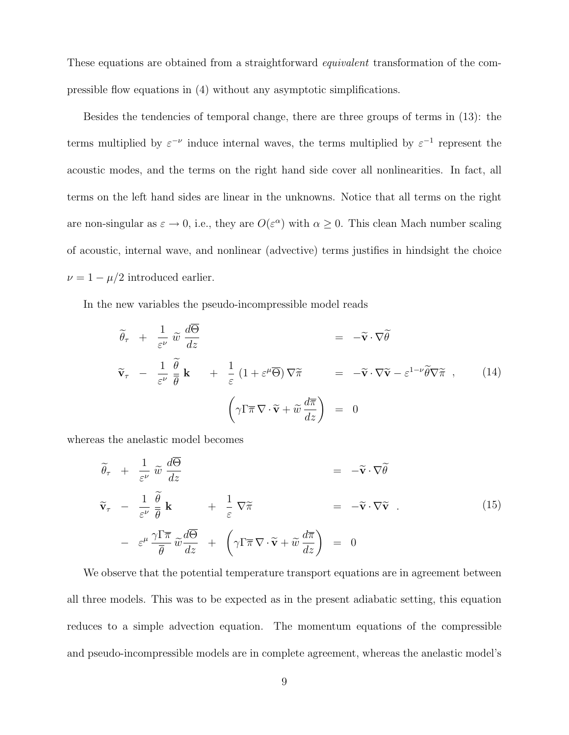These equations are obtained from a straightforward equivalent transformation of the compressible flow equations in (4) without any asymptotic simplifications.

Besides the tendencies of temporal change, there are three groups of terms in (13): the terms multiplied by  $\varepsilon^{-\nu}$  induce internal waves, the terms multiplied by  $\varepsilon^{-1}$  represent the acoustic modes, and the terms on the right hand side cover all nonlinearities. In fact, all terms on the left hand sides are linear in the unknowns. Notice that all terms on the right are non-singular as  $\varepsilon \to 0$ , i.e., they are  $O(\varepsilon^{\alpha})$  with  $\alpha \geq 0$ . This clean Mach number scaling of acoustic, internal wave, and nonlinear (advective) terms justifies in hindsight the choice  $\nu = 1 - \mu/2$  introduced earlier.

In the new variables the pseudo-incompressible model reads

$$
\widetilde{\theta}_{\tau} + \frac{1}{\varepsilon^{\nu}} \widetilde{w} \frac{d\Theta}{dz} = -\widetilde{\mathbf{v}} \cdot \nabla \widetilde{\theta}
$$
\n
$$
\widetilde{\mathbf{v}}_{\tau} - \frac{1}{\varepsilon^{\nu}} \frac{\widetilde{\theta}}{\overline{\theta}} \mathbf{k} + \frac{1}{\varepsilon} (1 + \varepsilon^{\mu} \overline{\Theta}) \nabla \widetilde{\pi} = -\widetilde{\mathbf{v}} \cdot \nabla \widetilde{\mathbf{v}} - \varepsilon^{1-\nu} \widetilde{\theta} \nabla \widetilde{\pi} , \qquad (14)
$$
\n
$$
\left( \gamma \Gamma \overline{\pi} \nabla \cdot \widetilde{\mathbf{v}} + \widetilde{w} \frac{d\overline{\pi}}{dz} \right) = 0
$$

whereas the anelastic model becomes

$$
\widetilde{\theta}_{\tau} + \frac{1}{\varepsilon^{\nu}} \widetilde{w} \frac{d\Theta}{dz} = -\widetilde{\mathbf{v}} \cdot \nabla \widetilde{\theta}
$$
\n
$$
\widetilde{\mathbf{v}}_{\tau} - \frac{1}{\varepsilon^{\nu}} \frac{\widetilde{\theta}}{\overline{\theta}} \mathbf{k} + \frac{1}{\varepsilon} \nabla \widetilde{\pi} = -\widetilde{\mathbf{v}} \cdot \nabla \widetilde{\mathbf{v}} . \tag{15}
$$
\n
$$
- \varepsilon^{\mu} \frac{\gamma \Gamma \overline{\pi}}{\overline{\theta}} \widetilde{w} \frac{d\overline{\Theta}}{dz} + \left( \gamma \Gamma \overline{\pi} \nabla \cdot \widetilde{\mathbf{v}} + \widetilde{w} \frac{d\overline{\pi}}{dz} \right) = 0
$$

We observe that the potential temperature transport equations are in agreement between all three models. This was to be expected as in the present adiabatic setting, this equation reduces to a simple advection equation. The momentum equations of the compressible and pseudo-incompressible models are in complete agreement, whereas the anelastic model's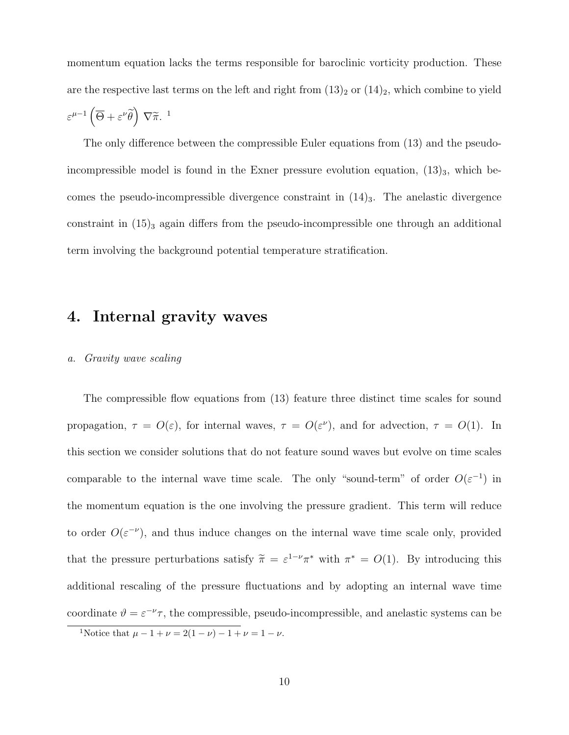momentum equation lacks the terms responsible for baroclinic vorticity production. These are the respective last terms on the left and right from  $(13)_2$  or  $(14)_2$ , which combine to yield  $\varepsilon^{\mu-1}\left(\overline{\Theta}+\varepsilon^{\nu}\widetilde{\theta}\right) \nabla\widetilde{\pi}$ .<sup>1</sup>

The only difference between the compressible Euler equations from (13) and the pseudoincompressible model is found in the Exner pressure evolution equation,  $(13)_3$ , which becomes the pseudo-incompressible divergence constraint in  $(14)_3$ . The anelastic divergence constraint in  $(15)$ <sub>3</sub> again differs from the pseudo-incompressible one through an additional term involving the background potential temperature stratification.

### 4. Internal gravity waves

### a. Gravity wave scaling

The compressible flow equations from (13) feature three distinct time scales for sound propagation,  $\tau = O(\varepsilon)$ , for internal waves,  $\tau = O(\varepsilon^{\nu})$ , and for advection,  $\tau = O(1)$ . In this section we consider solutions that do not feature sound waves but evolve on time scales comparable to the internal wave time scale. The only "sound-term" of order  $O(\varepsilon^{-1})$  in the momentum equation is the one involving the pressure gradient. This term will reduce to order  $O(\varepsilon^{-\nu})$ , and thus induce changes on the internal wave time scale only, provided that the pressure perturbations satisfy  $\tilde{\pi} = \varepsilon^{1-\nu} \pi^*$  with  $\pi^* = O(1)$ . By introducing this additional rescaling of the pressure fluctuations and by adopting an internal wave time coordinate  $\vartheta = \varepsilon^{-\nu} \tau$ , the compressible, pseudo-incompressible, and anelastic systems can be

<sup>&</sup>lt;sup>1</sup>Notice that  $\mu - 1 + \nu = 2(1 - \nu) - 1 + \nu = 1 - \nu$ .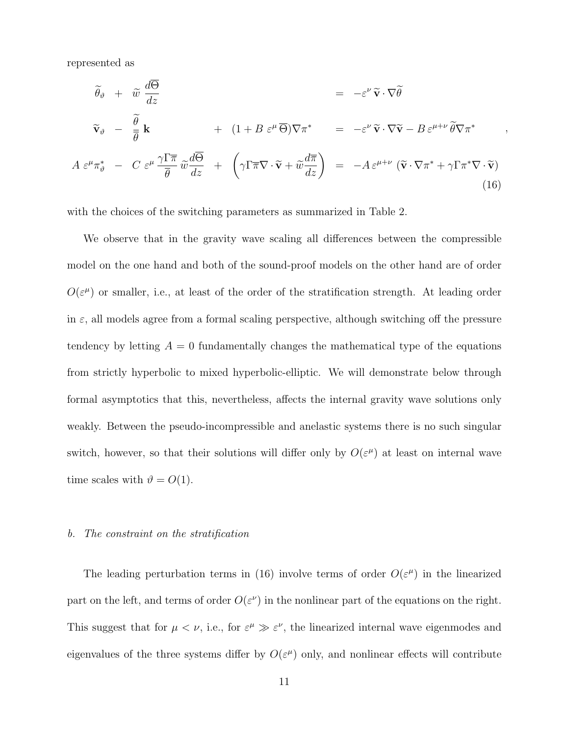represented as

$$
\tilde{\theta}_{\vartheta} + \tilde{w} \frac{d\Theta}{dz} = -\varepsilon^{\nu} \tilde{\mathbf{v}} \cdot \nabla \tilde{\theta}
$$
\n
$$
\tilde{\mathbf{v}}_{\vartheta} - \frac{\tilde{\theta}}{\bar{\theta}} \mathbf{k} + (1 + B \varepsilon^{\mu} \overline{\Theta}) \nabla \pi^* = -\varepsilon^{\nu} \tilde{\mathbf{v}} \cdot \nabla \tilde{\mathbf{v}} - B \varepsilon^{\mu + \nu} \tilde{\theta} \nabla \pi^*
$$
\n
$$
A \varepsilon^{\mu} \pi^*_{\vartheta} - C \varepsilon^{\mu} \frac{\gamma \Gamma \overline{\pi}}{\bar{\theta}} \tilde{w} \frac{d\overline{\Theta}}{dz} + \left( \gamma \Gamma \overline{\pi} \nabla \cdot \tilde{\mathbf{v}} + \tilde{w} \frac{d\overline{\pi}}{dz} \right) = -A \varepsilon^{\mu + \nu} \left( \tilde{\mathbf{v}} \cdot \nabla \pi^* + \gamma \Gamma \pi^* \nabla \cdot \tilde{\mathbf{v}} \right)
$$
\n(16)

,

with the choices of the switching parameters as summarized in Table 2.

We observe that in the gravity wave scaling all differences between the compressible model on the one hand and both of the sound-proof models on the other hand are of order  $O(\varepsilon^{\mu})$  or smaller, i.e., at least of the order of the stratification strength. At leading order in  $\varepsilon$ , all models agree from a formal scaling perspective, although switching off the pressure tendency by letting  $A = 0$  fundamentally changes the mathematical type of the equations from strictly hyperbolic to mixed hyperbolic-elliptic. We will demonstrate below through formal asymptotics that this, nevertheless, affects the internal gravity wave solutions only weakly. Between the pseudo-incompressible and anelastic systems there is no such singular switch, however, so that their solutions will differ only by  $O(\varepsilon^{\mu})$  at least on internal wave time scales with  $\vartheta = O(1)$ .

#### b. The constraint on the stratification

The leading perturbation terms in (16) involve terms of order  $O(\varepsilon^{\mu})$  in the linearized part on the left, and terms of order  $O(\varepsilon^{\nu})$  in the nonlinear part of the equations on the right. This suggest that for  $\mu < \nu$ , i.e., for  $\varepsilon^{\mu} \gg \varepsilon^{\nu}$ , the linearized internal wave eigenmodes and eigenvalues of the three systems differ by  $O(\varepsilon^{\mu})$  only, and nonlinear effects will contribute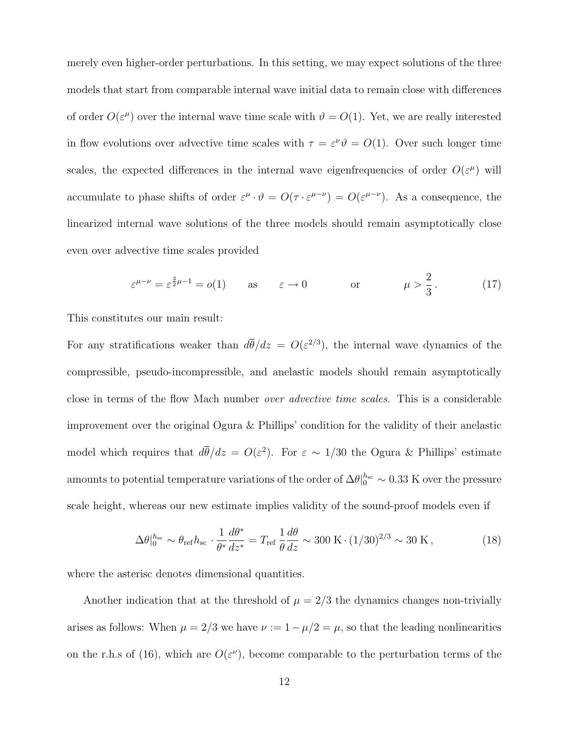merely even higher-order perturbations. In this setting, we may expect solutions of the three models that start from comparable internal wave initial data to remain close with differences of order  $O(\varepsilon^{\mu})$  over the internal wave time scale with  $\vartheta = O(1)$ . Yet, we are really interested in flow evolutions over advective time scales with  $\tau = \varepsilon^{\nu} \vartheta = O(1)$ . Over such longer time scales, the expected differences in the internal wave eigenfrequencies of order  $O(\varepsilon^{\mu})$  will accumulate to phase shifts of order  $\varepsilon^{\mu} \cdot \vartheta = O(\tau \cdot \varepsilon^{\mu-\nu}) = O(\varepsilon^{\mu-\nu})$ . As a consequence, the linearized internal wave solutions of the three models should remain asymptotically close even over advective time scales provided

$$
\varepsilon^{\mu-\nu} = \varepsilon^{\frac{3}{2}\mu-1} = o(1) \qquad \text{as} \qquad \varepsilon \to 0 \qquad \text{or} \qquad \mu > \frac{2}{3} \,. \tag{17}
$$

This constitutes our main result:

For any stratifications weaker than  $d\bar{\theta}/dz = O(\varepsilon^{2/3})$ , the internal wave dynamics of the compressible, pseudo-incompressible, and anelastic models should remain asymptotically close in terms of the flow Mach number over advective time scales. This is a considerable improvement over the original Ogura & Phillips' condition for the validity of their anelastic model which requires that  $d\bar{\theta}/dz = O(\varepsilon^2)$ . For  $\varepsilon \sim 1/30$  the Ogura & Phillips' estimate amounts to potential temperature variations of the order of  $\Delta\theta|_0^{h_{\rm sc}} \sim 0.33$  K over the pressure scale height, whereas our new estimate implies validity of the sound-proof models even if

$$
\Delta\theta|_{0}^{h_{\rm sc}} \sim \theta_{\rm ref} h_{\rm sc} \cdot \frac{1}{\theta^*} \frac{d\theta^*}{dz^*} = T_{\rm ref} \frac{1}{\theta} \frac{d\theta}{dz} \sim 300 \,\mathrm{K} \cdot (1/30)^{2/3} \sim 30 \,\mathrm{K} \,,\tag{18}
$$

where the asterisc denotes dimensional quantities.

Another indication that at the threshold of  $\mu = 2/3$  the dynamics changes non-trivially arises as follows: When  $\mu = 2/3$  we have  $\nu := 1 - \mu/2 = \mu$ , so that the leading nonlinearities on the r.h.s of (16), which are  $O(\varepsilon^{\nu})$ , become comparable to the perturbation terms of the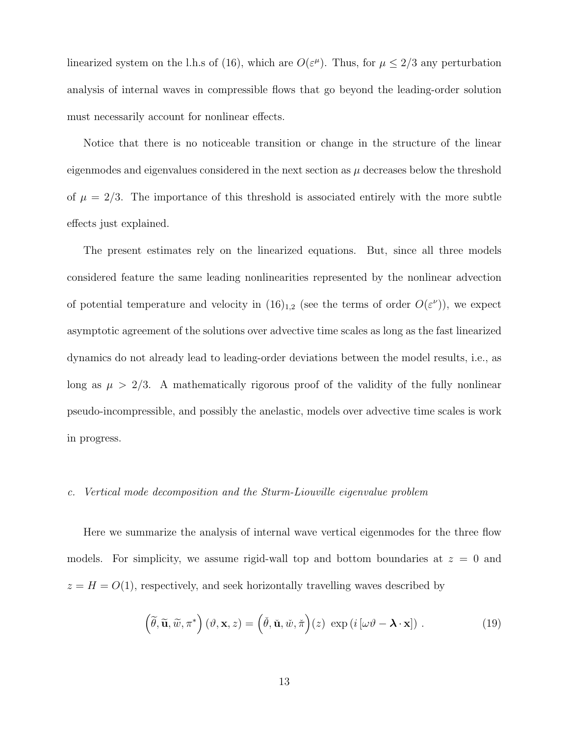linearized system on the l.h.s of (16), which are  $O(\varepsilon^{\mu})$ . Thus, for  $\mu \leq 2/3$  any perturbation analysis of internal waves in compressible flows that go beyond the leading-order solution must necessarily account for nonlinear effects.

Notice that there is no noticeable transition or change in the structure of the linear eigenmodes and eigenvalues considered in the next section as  $\mu$  decreases below the threshold of  $\mu = 2/3$ . The importance of this threshold is associated entirely with the more subtle effects just explained.

The present estimates rely on the linearized equations. But, since all three models considered feature the same leading nonlinearities represented by the nonlinear advection of potential temperature and velocity in  $(16)_{1,2}$  (see the terms of order  $O(\varepsilon^{\nu})$ ), we expect asymptotic agreement of the solutions over advective time scales as long as the fast linearized dynamics do not already lead to leading-order deviations between the model results, i.e., as long as  $\mu > 2/3$ . A mathematically rigorous proof of the validity of the fully nonlinear pseudo-incompressible, and possibly the anelastic, models over advective time scales is work in progress.

#### c. Vertical mode decomposition and the Sturm-Liouville eigenvalue problem

Here we summarize the analysis of internal wave vertical eigenmodes for the three flow models. For simplicity, we assume rigid-wall top and bottom boundaries at  $z = 0$  and  $z = H = O(1)$ , respectively, and seek horizontally travelling waves described by

$$
\left(\widetilde{\theta}, \widetilde{\mathbf{u}}, \widetilde{w}, \pi^*\right) (\vartheta, \mathbf{x}, z) = \left(\widetilde{\theta}, \widetilde{\mathbf{u}}, \widetilde{w}, \widetilde{\pi}\right) (z) \exp\left(i\left[\omega\vartheta - \mathbf{\lambda} \cdot \mathbf{x}\right]\right). \tag{19}
$$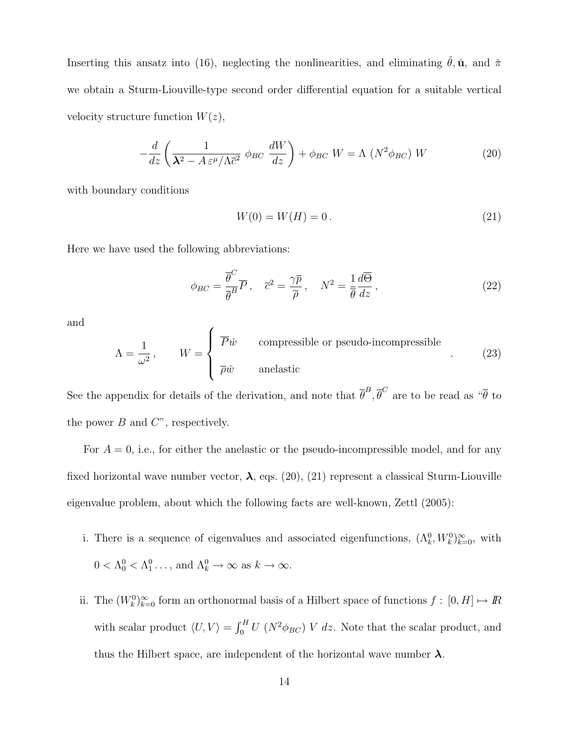Inserting this ansatz into (16), neglecting the nonlinearities, and eliminating  $\check{\theta}$ ,  $\check{\mathbf{u}}$ , and  $\check{\pi}$ we obtain a Sturm-Liouville-type second order differential equation for a suitable vertical velocity structure function  $W(z)$ ,

$$
-\frac{d}{dz}\left(\frac{1}{\lambda^2 - A\,\varepsilon^{\mu}/\Lambda\bar{c}^2}\,\phi_{BC}\,\frac{dW}{dz}\right) + \phi_{BC}\,W = \Lambda\,\left(N^2\phi_{BC}\right)\,W\tag{20}
$$

with boundary conditions

$$
W(0) = W(H) = 0.
$$
\n(21)

Here we have used the following abbreviations:

$$
\phi_{BC} = \frac{\overline{\theta}^C}{\overline{\theta}^B} \overline{P}, \quad \overline{c}^2 = \frac{\gamma \overline{p}}{\overline{\rho}}, \quad N^2 = \frac{1}{\overline{\theta}} \frac{d\overline{\Theta}}{dz}, \tag{22}
$$

and

$$
\Lambda = \frac{1}{\omega^2}, \qquad W = \begin{cases} \overline{P}\check{w} & \text{compressible or pseudo-incompressible} \\ \overline{\rho}\check{w} & \text{anelastic} \end{cases}
$$
 (23)

See the appendix for details of the derivation, and note that  $\bar{\theta}^B$ ,  $\bar{\theta}^C$  are to be read as " $\bar{\theta}$  to the power  $B$  and  $C$ ", respectively.

For  $A = 0$ , i.e., for either the anelastic or the pseudo-incompressible model, and for any fixed horizontal wave number vector,  $\lambda$ , eqs. (20), (21) represent a classical Sturm-Liouville eigenvalue problem, about which the following facts are well-known, Zettl (2005):

- i. There is a sequence of eigenvalues and associated eigenfunctions,  $(\Lambda_k^0, W_k^0)_{k=0}^{\infty}$ , with  $0 < \Lambda_0^0 < \Lambda_1^0 \ldots$ , and  $\Lambda_k^0 \to \infty$  as  $k \to \infty$ .
- ii. The  $(W_k^0)_{k=0}^{\infty}$  form an orthonormal basis of a Hilbert space of functions  $f : [0, H] \mapsto \mathbb{R}$ with scalar product  $\langle U, V \rangle = \int_0^H U (N^2 \phi_{BC}) V dz$ . Note that the scalar product, and thus the Hilbert space, are independent of the horizontal wave number  $\lambda$ .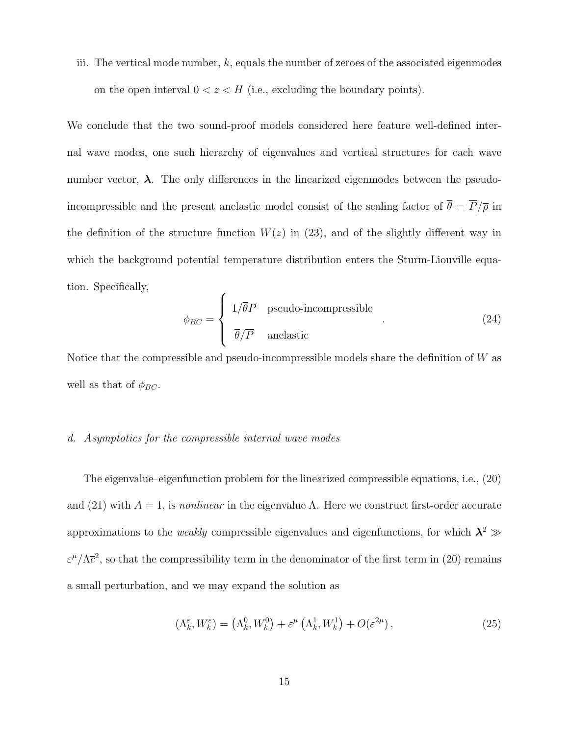iii. The vertical mode number,  $k$ , equals the number of zeroes of the associated eigenmodes on the open interval  $0 < z < H$  (i.e., excluding the boundary points).

We conclude that the two sound-proof models considered here feature well-defined internal wave modes, one such hierarchy of eigenvalues and vertical structures for each wave number vector,  $\lambda$ . The only differences in the linearized eigenmodes between the pseudoincompressible and the present anelastic model consist of the scaling factor of  $\bar{\theta} = \overline{P}/\overline{\rho}$  in the definition of the structure function  $W(z)$  in (23), and of the slightly different way in which the background potential temperature distribution enters the Sturm-Liouville equation. Specifically,

$$
\phi_{BC} = \begin{cases} 1/\overline{\theta P} & \text{pseudo-incompressible} \\ \overline{\theta}/\overline{P} & \text{anelastic} \end{cases}
$$
 (24)

Notice that the compressible and pseudo-incompressible models share the definition of W as well as that of  $\phi_{BC}$ .

### d. Asymptotics for the compressible internal wave modes

The eigenvalue–eigenfunction problem for the linearized compressible equations, i.e., (20) and (21) with  $A = 1$ , is nonlinear in the eigenvalue  $\Lambda$ . Here we construct first-order accurate approximations to the *weakly* compressible eigenvalues and eigenfunctions, for which  $\lambda^2 \gg$  $\varepsilon^{\mu}/\Lambda \bar{c}^2$ , so that the compressibility term in the denominator of the first term in (20) remains a small perturbation, and we may expand the solution as

$$
(\Lambda_k^{\varepsilon}, W_k^{\varepsilon}) = (\Lambda_k^0, W_k^0) + \varepsilon^{\mu} (\Lambda_k^1, W_k^1) + O(\varepsilon^{2\mu}), \qquad (25)
$$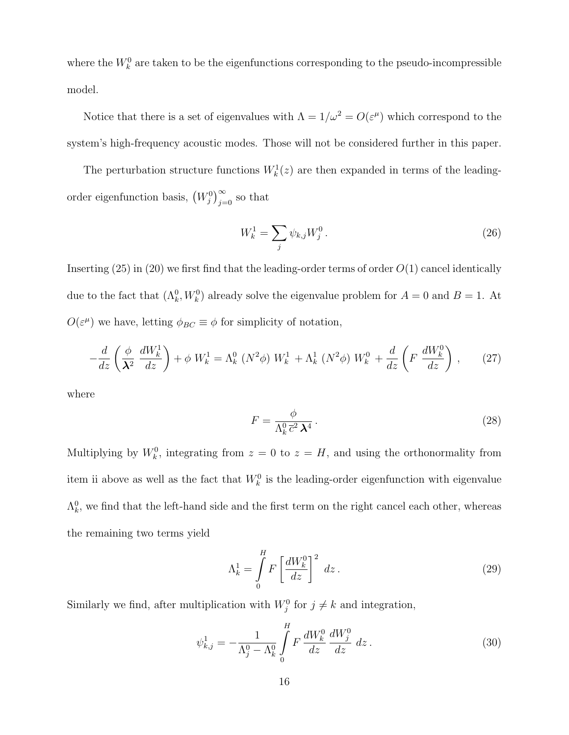where the  $W_k^0$  are taken to be the eigenfunctions corresponding to the pseudo-incompressible model.

Notice that there is a set of eigenvalues with  $\Lambda = 1/\omega^2 = O(\varepsilon^{\mu})$  which correspond to the system's high-frequency acoustic modes. Those will not be considered further in this paper.

The perturbation structure functions  $W_k^1(z)$  are then expanded in terms of the leadingorder eigenfunction basis,  $(W_j^0)_{j=0}^{\infty}$  so that

$$
W_k^1 = \sum_j \psi_{k,j} W_j^0 \,. \tag{26}
$$

Inserting  $(25)$  in  $(20)$  we first find that the leading-order terms of order  $O(1)$  cancel identically due to the fact that  $(\Lambda_k^0, W_k^0)$  already solve the eigenvalue problem for  $A = 0$  and  $B = 1$ . At  $O(\varepsilon^{\mu})$  we have, letting  $\phi_{BC} \equiv \phi$  for simplicity of notation,

$$
-\frac{d}{dz}\left(\frac{\phi}{\lambda^2}\,\frac{dW_k^1}{dz}\right) + \phi\;W_k^1 = \Lambda_k^0\left(N^2\phi\right)\,W_k^1 + \Lambda_k^1\left(N^2\phi\right)\,W_k^0 + \frac{d}{dz}\left(F\;\frac{dW_k^0}{dz}\right)\,,\tag{27}
$$

where

$$
F = \frac{\phi}{\Lambda_k^0 \,\overline{c}^2 \,\mathbf{\lambda}^4} \,. \tag{28}
$$

Multiplying by  $W_k^0$ , integrating from  $z = 0$  to  $z = H$ , and using the orthonormality from item ii above as well as the fact that  $W_k^0$  is the leading-order eigenfunction with eigenvalue  $\Lambda_k^0$ , we find that the left-hand side and the first term on the right cancel each other, whereas the remaining two terms yield

$$
\Lambda_k^1 = \int_0^H F \left[ \frac{dW_k^0}{dz} \right]^2 dz.
$$
\n(29)

Similarly we find, after multiplication with  $W_j^0$  for  $j \neq k$  and integration,

$$
\psi_{k,j}^1 = -\frac{1}{\Lambda_j^0 - \Lambda_k^0} \int\limits_0^H F \, \frac{dW_k^0}{dz} \, \frac{dW_j^0}{dz} \, dz \,. \tag{30}
$$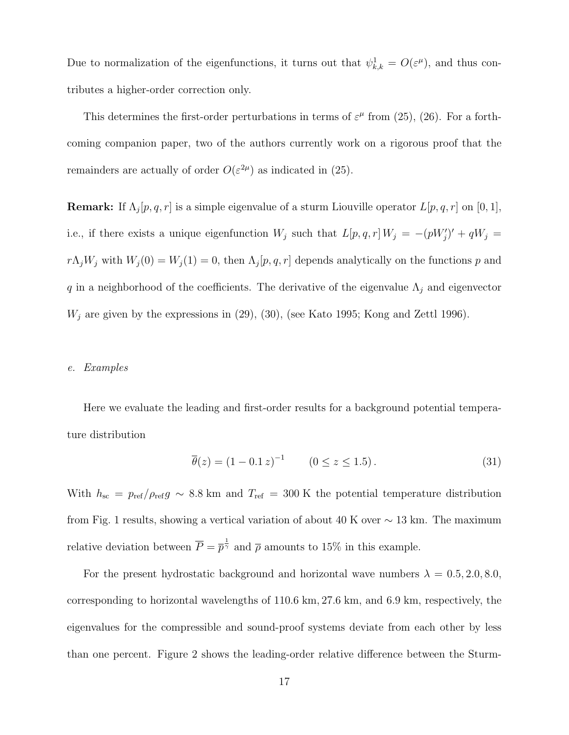Due to normalization of the eigenfunctions, it turns out that  $\psi_{k,k}^1 = O(\varepsilon^{\mu})$ , and thus contributes a higher-order correction only.

This determines the first-order perturbations in terms of  $\varepsilon^{\mu}$  from (25), (26). For a forthcoming companion paper, two of the authors currently work on a rigorous proof that the remainders are actually of order  $O(\varepsilon^{2\mu})$  as indicated in (25).

**Remark:** If  $\Lambda_j[p,q,r]$  is a simple eigenvalue of a sturm Liouville operator  $L[p,q,r]$  on  $[0,1]$ , i.e., if there exists a unique eigenfunction  $W_j$  such that  $L[p, q, r] W_j = -(pW'_j)' + qW_j =$  $r\Lambda_j W_j$  with  $W_j(0) = W_j(1) = 0$ , then  $\Lambda_j[p, q, r]$  depends analytically on the functions p and q in a neighborhood of the coefficients. The derivative of the eigenvalue  $\Lambda_j$  and eigenvector  $W_j$  are given by the expressions in (29), (30), (see Kato 1995; Kong and Zettl 1996).

### e. Examples

Here we evaluate the leading and first-order results for a background potential temperature distribution

$$
\overline{\theta}(z) = (1 - 0.1 z)^{-1} \qquad (0 \le z \le 1.5). \tag{31}
$$

With  $h_{\rm sc} = p_{\rm ref}/\rho_{\rm ref} g \sim 8.8$  km and  $T_{\rm ref} = 300$  K the potential temperature distribution from Fig. 1 results, showing a vertical variation of about 40 K over  $\sim$  13 km. The maximum relative deviation between  $\overline{P} = \overline{p}^{\frac{1}{\gamma}}$  and  $\overline{\rho}$  amounts to 15% in this example.

For the present hydrostatic background and horizontal wave numbers  $\lambda = 0.5, 2.0, 8.0,$ corresponding to horizontal wavelengths of 110.6 km, 27.6 km, and 6.9 km, respectively, the eigenvalues for the compressible and sound-proof systems deviate from each other by less than one percent. Figure 2 shows the leading-order relative difference between the Sturm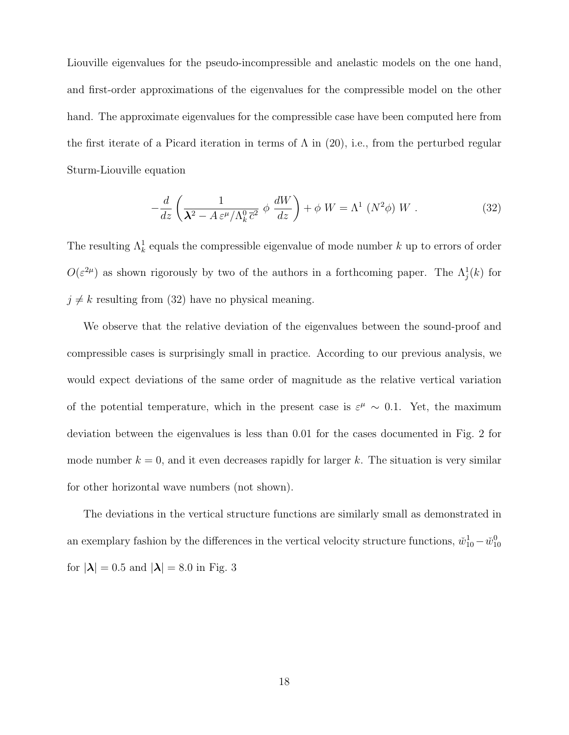Liouville eigenvalues for the pseudo-incompressible and anelastic models on the one hand, and first-order approximations of the eigenvalues for the compressible model on the other hand. The approximate eigenvalues for the compressible case have been computed here from the first iterate of a Picard iteration in terms of  $\Lambda$  in (20), i.e., from the perturbed regular Sturm-Liouville equation

$$
-\frac{d}{dz}\left(\frac{1}{\lambda^2 - A\,\varepsilon^\mu/\Lambda_k^0\,\overline{c}^2} \,\phi\,\frac{dW}{dz}\right) + \phi\,W = \Lambda^1\left(N^2\phi\right)\,W\;.\tag{32}
$$

The resulting  $\Lambda_k^1$  equals the compressible eigenvalue of mode number k up to errors of order  $O(\varepsilon^{2\mu})$  as shown rigorously by two of the authors in a forthcoming paper. The  $\Lambda_j^1(k)$  for  $j \neq k$  resulting from (32) have no physical meaning.

We observe that the relative deviation of the eigenvalues between the sound-proof and compressible cases is surprisingly small in practice. According to our previous analysis, we would expect deviations of the same order of magnitude as the relative vertical variation of the potential temperature, which in the present case is  $\varepsilon^{\mu} \sim 0.1$ . Yet, the maximum deviation between the eigenvalues is less than 0.01 for the cases documented in Fig. 2 for mode number  $k = 0$ , and it even decreases rapidly for larger k. The situation is very similar for other horizontal wave numbers (not shown).

The deviations in the vertical structure functions are similarly small as demonstrated in an exemplary fashion by the differences in the vertical velocity structure functions,  $\check{w}_{10}^1 - \check{w}_{10}^0$ for  $|\lambda| = 0.5$  and  $|\lambda| = 8.0$  in Fig. 3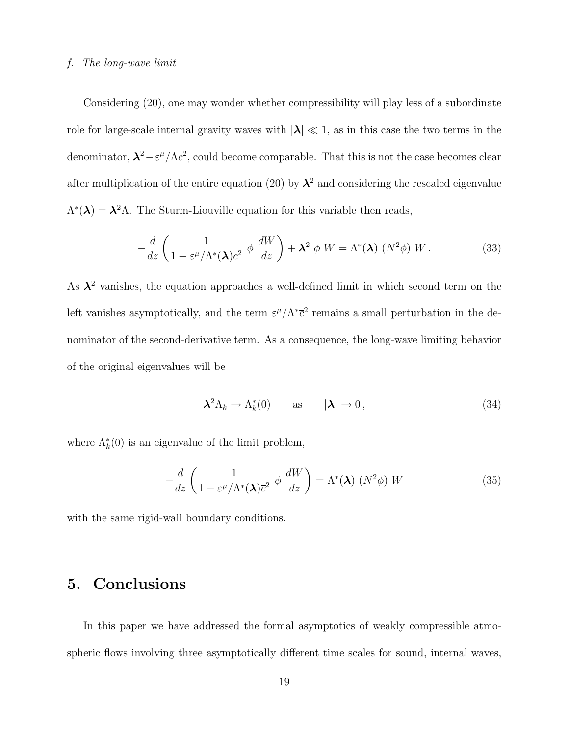#### f. The long-wave limit

Considering (20), one may wonder whether compressibility will play less of a subordinate role for large-scale internal gravity waves with  $|\lambda| \ll 1$ , as in this case the two terms in the denominator,  $\lambda^2 - \varepsilon^{\mu}/\Lambda \bar{c}^2$ , could become comparable. That this is not the case becomes clear after multiplication of the entire equation (20) by  $\lambda^2$  and considering the rescaled eigenvalue  $\Lambda^*(\lambda) = \lambda^2 \Lambda$ . The Sturm-Liouville equation for this variable then reads,

$$
-\frac{d}{dz}\left(\frac{1}{1-\varepsilon^{\mu}/\Lambda^{*}(\lambda)\overline{c}^{2}}\phi\frac{dW}{dz}\right) + \lambda^{2}\phi W = \Lambda^{*}(\lambda)\left(N^{2}\phi\right)W.
$$
 (33)

As  $\lambda^2$  vanishes, the equation approaches a well-defined limit in which second term on the left vanishes asymptotically, and the term  $\varepsilon^{\mu}/\Lambda^*\bar{c}^2$  remains a small perturbation in the denominator of the second-derivative term. As a consequence, the long-wave limiting behavior of the original eigenvalues will be

$$
\lambda^2 \Lambda_k \to \Lambda_k^*(0) \qquad \text{as} \qquad |\lambda| \to 0, \tag{34}
$$

where  $\Lambda_k^*(0)$  is an eigenvalue of the limit problem,

$$
-\frac{d}{dz}\left(\frac{1}{1-\varepsilon^{\mu}/\Lambda^{*}(\lambda)\overline{c}^{2}}\phi\frac{dW}{dz}\right) = \Lambda^{*}(\lambda)\left(N^{2}\phi\right)W\tag{35}
$$

with the same rigid-wall boundary conditions.

# 5. Conclusions

In this paper we have addressed the formal asymptotics of weakly compressible atmospheric flows involving three asymptotically different time scales for sound, internal waves,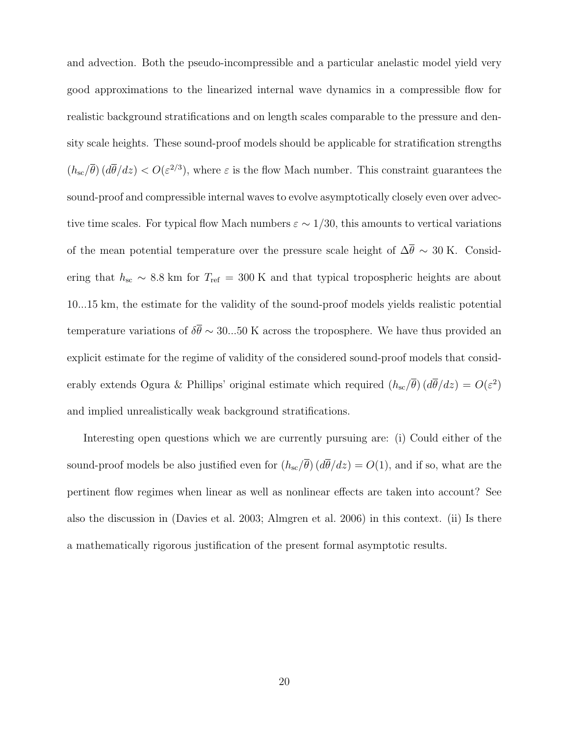and advection. Both the pseudo-incompressible and a particular anelastic model yield very good approximations to the linearized internal wave dynamics in a compressible flow for realistic background stratifications and on length scales comparable to the pressure and density scale heights. These sound-proof models should be applicable for stratification strengths  $(h_{\rm sc}/\overline{\theta})$  ( $d\overline{\theta}/dz$ ) <  $O(\varepsilon^{2/3})$ , where  $\varepsilon$  is the flow Mach number. This constraint guarantees the sound-proof and compressible internal waves to evolve asymptotically closely even over advective time scales. For typical flow Mach numbers  $\varepsilon \sim 1/30$ , this amounts to vertical variations of the mean potential temperature over the pressure scale height of  $\Delta \bar{\theta} \sim 30$  K. Considering that  $h_{\rm sc} \sim 8.8$  km for  $T_{\rm ref} = 300$  K and that typical tropospheric heights are about 10...15 km, the estimate for the validity of the sound-proof models yields realistic potential temperature variations of  $\delta \bar{\theta} \sim 30...50$  K across the troposphere. We have thus provided an explicit estimate for the regime of validity of the considered sound-proof models that considerably extends Ogura & Phillips' original estimate which required  $(h_{\rm sc}/\overline{\theta}) (d\overline{\theta}/dz) = O(\varepsilon^2)$ and implied unrealistically weak background stratifications.

Interesting open questions which we are currently pursuing are: (i) Could either of the sound-proof models be also justified even for  $(h_{\rm sc}/\overline{\theta}) (d\overline{\theta}/dz) = O(1)$ , and if so, what are the pertinent flow regimes when linear as well as nonlinear effects are taken into account? See also the discussion in (Davies et al. 2003; Almgren et al. 2006) in this context. (ii) Is there a mathematically rigorous justification of the present formal asymptotic results.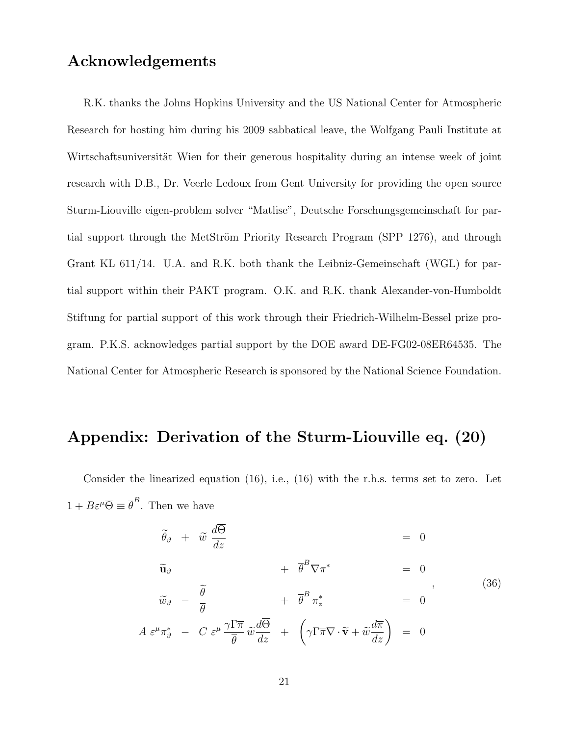# Acknowledgements

 $\boldsymbol{A}$ 

R.K. thanks the Johns Hopkins University and the US National Center for Atmospheric Research for hosting him during his 2009 sabbatical leave, the Wolfgang Pauli Institute at Wirtschaftsuniversität Wien for their generous hospitality during an intense week of joint research with D.B., Dr. Veerle Ledoux from Gent University for providing the open source Sturm-Liouville eigen-problem solver "Matlise", Deutsche Forschungsgemeinschaft for partial support through the MetStröm Priority Research Program (SPP 1276), and through Grant KL 611/14. U.A. and R.K. both thank the Leibniz-Gemeinschaft (WGL) for partial support within their PAKT program. O.K. and R.K. thank Alexander-von-Humboldt Stiftung for partial support of this work through their Friedrich-Wilhelm-Bessel prize program. P.K.S. acknowledges partial support by the DOE award DE-FG02-08ER64535. The National Center for Atmospheric Research is sponsored by the National Science Foundation.

# Appendix: Derivation of the Sturm-Liouville eq. (20)

Consider the linearized equation (16), i.e., (16) with the r.h.s. terms set to zero. Let  $1 + B\varepsilon^{\mu}\overline{\Theta} \equiv \overline{\theta}^{B}$ . Then we have

$$
\tilde{\theta}_{\vartheta} + \tilde{w} \frac{d\Theta}{dz} = 0
$$
\n
$$
\tilde{u}_{\vartheta} + \bar{\theta}^{B} \nabla \pi^{*} = 0
$$
\n
$$
\tilde{w}_{\vartheta} - \frac{\tilde{\theta}}{\bar{\theta}} + \bar{\theta}^{B} \pi_{z}^{*} = 0
$$
\n
$$
\varepsilon^{\mu} \pi_{\vartheta}^{*} - C \varepsilon^{\mu} \frac{\gamma \Gamma \overline{\pi}}{\bar{\theta}} \tilde{w} \frac{d\overline{\Theta}}{dz} + \left( \gamma \Gamma \overline{\pi} \nabla \cdot \widetilde{\mathbf{v}} + \tilde{w} \frac{d\overline{\pi}}{dz} \right) = 0
$$
\n(36)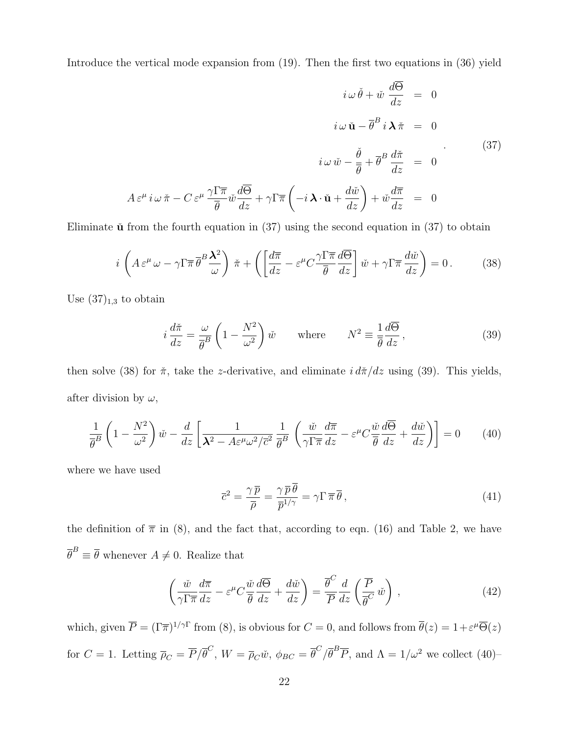Introduce the vertical mode expansion from (19). Then the first two equations in (36) yield

$$
i \omega \check{\theta} + \check{w} \frac{d\overline{\Theta}}{dz} = 0
$$

$$
i \omega \check{\mathbf{u}} - \overline{\theta}^B i \mathbf{\lambda} \check{\pi} = 0
$$

$$
i \omega \check{w} - \frac{\check{\theta}}{\overline{\theta}} + \overline{\theta}^B \frac{d\check{\pi}}{dz} = 0
$$
(37)
$$
i \omega \check{w} - \frac{\check{\theta}}{\overline{\theta}} + \overline{\theta}^B \frac{d\check{\pi}}{dz} = 0
$$
(37)
$$
A \varepsilon^{\mu} i \omega \check{\pi} - C \varepsilon^{\mu} \frac{\gamma \Gamma \overline{\pi}}{\overline{\theta}} \check{w} \frac{d\overline{\Theta}}{dz} + \gamma \Gamma \overline{\pi} \left( -i \mathbf{\lambda} \cdot \check{\mathbf{u}} + \frac{d\check{w}}{dz} \right) + \check{w} \frac{d\overline{\pi}}{dz} = 0
$$

Eliminate  $\check{\mathbf{u}}$  from the fourth equation in (37) using the second equation in (37) to obtain

$$
i\left(A\,\varepsilon^{\mu}\,\omega - \gamma\Gamma\overline{\pi}\,\overline{\theta}^{B}\frac{\mathbf{\lambda}^{2}}{\omega}\right)\,\check{\pi} + \left(\left[\frac{d\overline{\pi}}{dz} - \varepsilon^{\mu}C\frac{\gamma\Gamma\overline{\pi}}{\overline{\theta}}\frac{d\overline{\Theta}}{dz}\right]\check{w} + \gamma\Gamma\overline{\pi}\,\frac{d\check{w}}{dz}\right) = 0\,. \tag{38}
$$

Use  $(37)_{1,3}$  to obtain

$$
i\frac{d\tilde{\pi}}{dz} = \frac{\omega}{\overline{\theta}^B} \left(1 - \frac{N^2}{\omega^2}\right) \tilde{w} \quad \text{where} \quad N^2 \equiv \frac{1}{\overline{\theta}} \frac{d\overline{\Theta}}{dz}, \tag{39}
$$

then solve (38) for  $\check{\pi}$ , take the *z*-derivative, and eliminate  $i d\check{\pi}/dz$  using (39). This yields, after division by  $\omega$ ,

$$
\frac{1}{\overline{\theta}^B} \left( 1 - \frac{N^2}{\omega^2} \right) \check{w} - \frac{d}{dz} \left[ \frac{1}{\lambda^2 - A\varepsilon^{\mu} \omega^2 / \overline{c}^2} \frac{1}{\overline{\theta}^B} \left( \frac{\check{w}}{\gamma \Gamma \overline{\pi}} \frac{d\overline{\pi}}{dz} - \varepsilon^{\mu} C \frac{\check{w}}{\overline{\theta}} \frac{d\overline{\Theta}}{dz} + \frac{d\check{w}}{dz} \right) \right] = 0 \tag{40}
$$

where we have used

$$
\overline{c}^2 = \frac{\gamma \,\overline{p}}{\overline{\rho}} = \frac{\gamma \,\overline{p}\,\theta}{\overline{p}^{1/\gamma}} = \gamma \Gamma \,\overline{\pi}\,\overline{\theta}\,,\tag{41}
$$

the definition of  $\bar{\pi}$  in (8), and the fact that, according to eqn. (16) and Table 2, we have  $\overline{\theta}^B \equiv \overline{\theta}$  whenever  $A \neq 0$ . Realize that

$$
\left(\frac{\check{w}}{\gamma\Gamma\overline{\pi}}\frac{d\overline{\pi}}{dz} - \varepsilon^{\mu}C\frac{\check{w}}{\overline{\theta}}\frac{d\overline{\Theta}}{dz} + \frac{d\check{w}}{dz}\right) = \frac{\overline{\theta}^{C}}{\overline{P}}\frac{d}{dz}\left(\frac{\overline{P}}{\overline{\theta}^{C}}\check{w}\right),\tag{42}
$$

which, given  $\overline{P} = (\Gamma \overline{\pi})^{1/\gamma \Gamma}$  from (8), is obvious for  $C = 0$ , and follows from  $\overline{\theta}(z) = 1 + \varepsilon^{\mu} \overline{\Theta}(z)$ for  $C = 1$ . Letting  $\overline{\rho}_C = \overline{P}/\overline{\theta}^C$ ,  $W = \overline{\rho}_C \check{w}$ ,  $\phi_{BC} = \overline{\theta}^C/\overline{\theta}^B \overline{P}$ , and  $\Lambda = 1/\omega^2$  we collect (40)-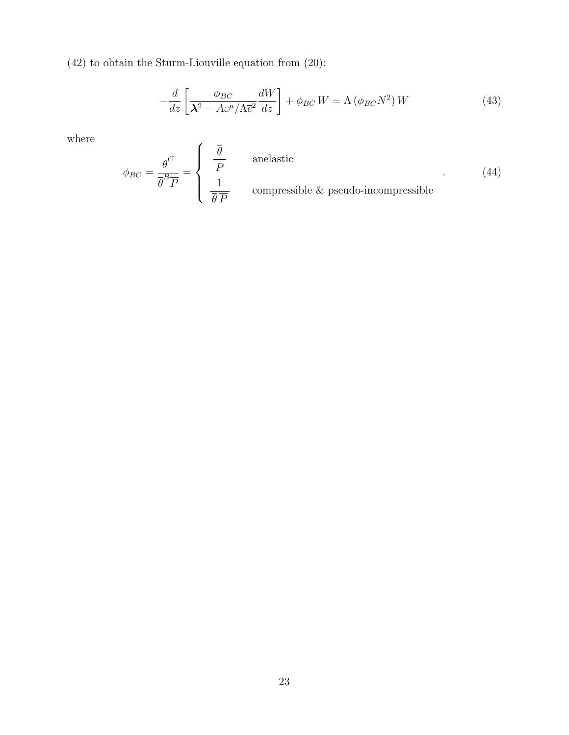(42) to obtain the Sturm-Liouville equation from (20):

$$
-\frac{d}{dz}\left[\frac{\phi_{BC}}{\lambda^2 - A\varepsilon^{\mu}/\Lambda \overline{c}^2} \frac{dW}{dz}\right] + \phi_{BC} W = \Lambda \left(\phi_{BC} N^2\right) W \tag{43}
$$

where

$$
\phi_{BC} = \frac{\overline{\theta}^C}{\overline{\theta}^B \overline{P}} = \begin{cases} \frac{\overline{\theta}}{\overline{P}} & \text{anelastic} \\ \frac{1}{\overline{\theta}\,\overline{P}} & \text{compressible & \text{pseudo-incompressible} \end{cases}
$$
(44)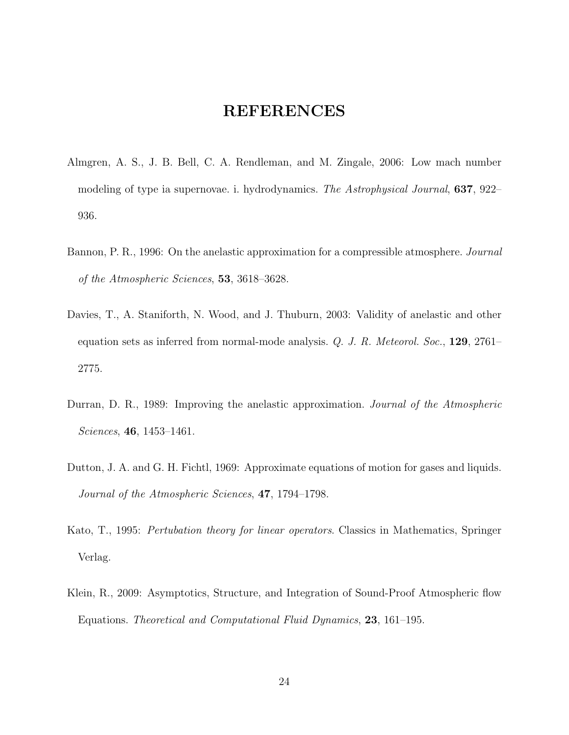# REFERENCES

- Almgren, A. S., J. B. Bell, C. A. Rendleman, and M. Zingale, 2006: Low mach number modeling of type ia supernovae. i. hydrodynamics. The Astrophysical Journal, **637**, 922– 936.
- Bannon, P. R., 1996: On the anelastic approximation for a compressible atmosphere. Journal of the Atmospheric Sciences, 53, 3618–3628.
- Davies, T., A. Staniforth, N. Wood, and J. Thuburn, 2003: Validity of anelastic and other equation sets as inferred from normal-mode analysis. Q. J. R. Meteorol. Soc., 129, 2761– 2775.
- Durran, D. R., 1989: Improving the anelastic approximation. Journal of the Atmospheric Sciences, 46, 1453–1461.
- Dutton, J. A. and G. H. Fichtl, 1969: Approximate equations of motion for gases and liquids. Journal of the Atmospheric Sciences, 47, 1794–1798.
- Kato, T., 1995: Pertubation theory for linear operators. Classics in Mathematics, Springer Verlag.
- Klein, R., 2009: Asymptotics, Structure, and Integration of Sound-Proof Atmospheric flow Equations. Theoretical and Computational Fluid Dynamics, 23, 161–195.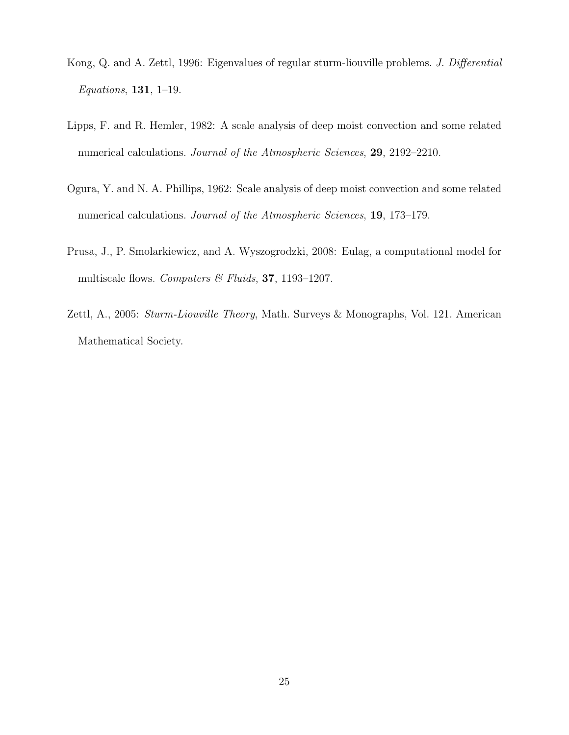- Kong, Q. and A. Zettl, 1996: Eigenvalues of regular sturm-liouville problems. J. Differential Equations, 131, 1–19.
- Lipps, F. and R. Hemler, 1982: A scale analysis of deep moist convection and some related numerical calculations. Journal of the Atmospheric Sciences, 29, 2192-2210.
- Ogura, Y. and N. A. Phillips, 1962: Scale analysis of deep moist convection and some related numerical calculations. *Journal of the Atmospheric Sciences*, **19**, 173–179.
- Prusa, J., P. Smolarkiewicz, and A. Wyszogrodzki, 2008: Eulag, a computational model for multiscale flows. Computers & Fluids, 37, 1193-1207.
- Zettl, A., 2005: Sturm-Liouville Theory, Math. Surveys & Monographs, Vol. 121. American Mathematical Society.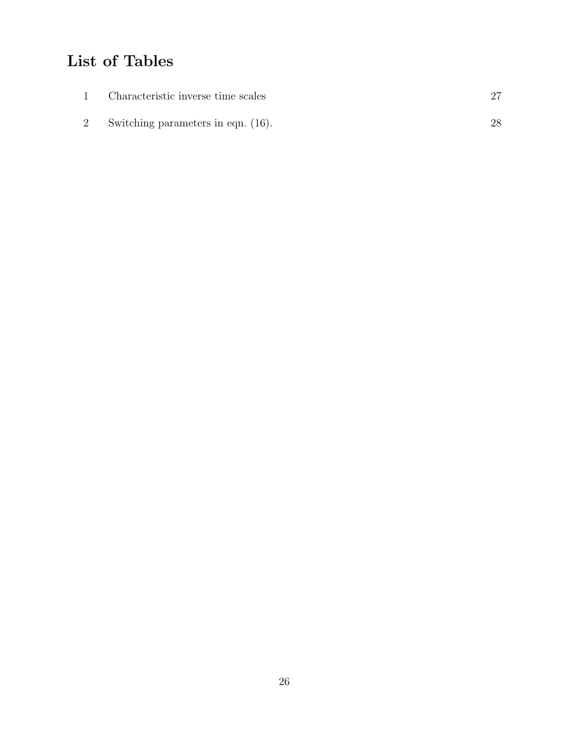# List of Tables

| Characteristic inverse time scales |  |
|------------------------------------|--|
| Switching parameters in eqn. (16). |  |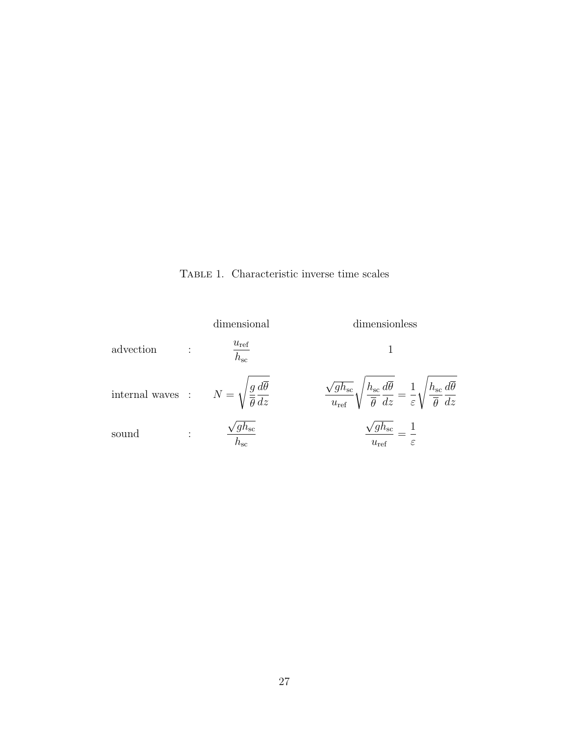Table 1. Characteristic inverse time scales

|                                                                                         | dimensional                                 | dimensionless                                                                                                                                                                                                              |  |
|-----------------------------------------------------------------------------------------|---------------------------------------------|----------------------------------------------------------------------------------------------------------------------------------------------------------------------------------------------------------------------------|--|
| advection                                                                               | $\frac{u_{\text{ref}}}{h_{\text{sc}}}$      |                                                                                                                                                                                                                            |  |
| internal waves : $N = \sqrt{\frac{g}{\overline{\theta}} \frac{d\overline{\theta}}{dz}}$ |                                             | $\frac{\sqrt{gh_{\text{sc}}}}{u_{\text{ref}}}\sqrt{\frac{h_{\text{sc}}}{\overline{\theta}}}\frac{d\overline{\theta}}{dz}=\frac{1}{\varepsilon}\sqrt{\frac{h_{\text{sc}}}{\overline{\theta}}}\frac{d\overline{\theta}}{dz}$ |  |
| sound                                                                                   | / $g h_{\rm sc}$<br>$\overline{h_{\rm sc}}$ | ${}^\prime g h_{\rm sc}$<br>$u_{\rm ref}$<br>$\varepsilon$                                                                                                                                                                 |  |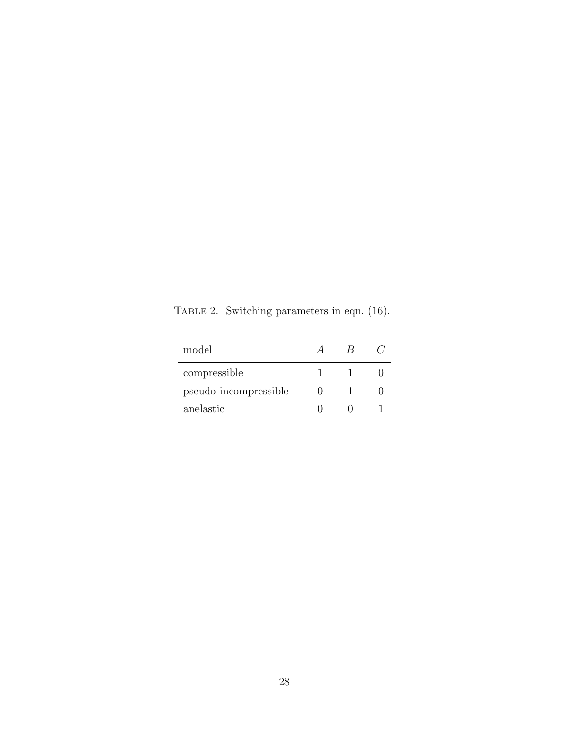TABLE 2. Switching parameters in eqn. (16).

| model                 |  |  |
|-----------------------|--|--|
| compressible          |  |  |
| pseudo-incompressible |  |  |
| anelastic             |  |  |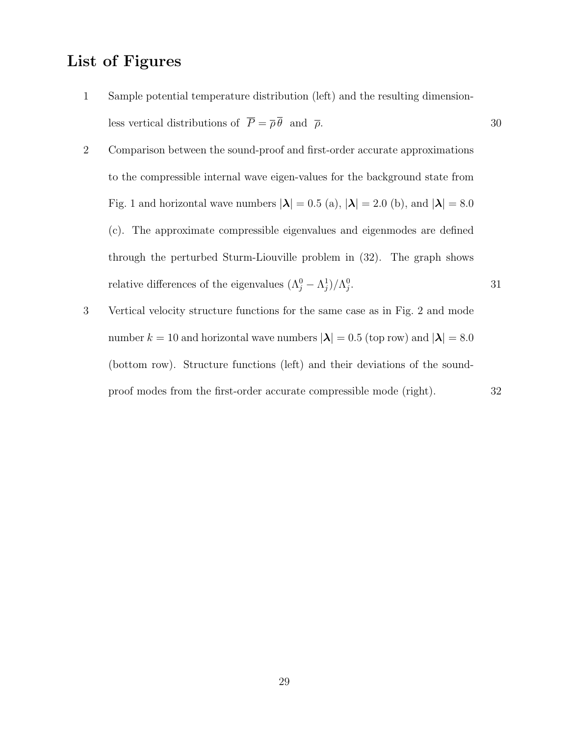# List of Figures

- 1 Sample potential temperature distribution (left) and the resulting dimensionless vertical distributions of  $\overline{P} = \overline{\rho} \overline{\theta}$  and  $\overline{\rho}$ . 30
- 2 Comparison between the sound-proof and first-order accurate approximations to the compressible internal wave eigen-values for the background state from Fig. 1 and horizontal wave numbers  $|\lambda| = 0.5$  (a),  $|\lambda| = 2.0$  (b), and  $|\lambda| = 8.0$ (c). The approximate compressible eigenvalues and eigenmodes are defined through the perturbed Sturm-Liouville problem in (32). The graph shows relative differences of the eigenvalues  $(\Lambda_j^0 - \Lambda_j^1)/\Lambda_j^0$ . 31
- 3 Vertical velocity structure functions for the same case as in Fig. 2 and mode number  $k = 10$  and horizontal wave numbers  $|\lambda| = 0.5$  (top row) and  $|\lambda| = 8.0$ (bottom row). Structure functions (left) and their deviations of the soundproof modes from the first-order accurate compressible mode (right). 32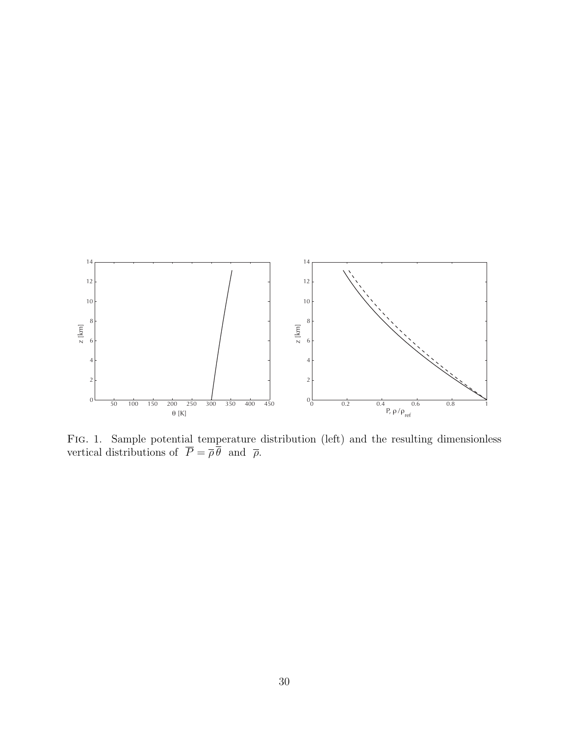

Fig. 1. Sample potential temperature distribution (left) and the resulting dimensionless vertical distributions of  $P = \overline{\rho} \theta$  and  $\overline{\rho}$ .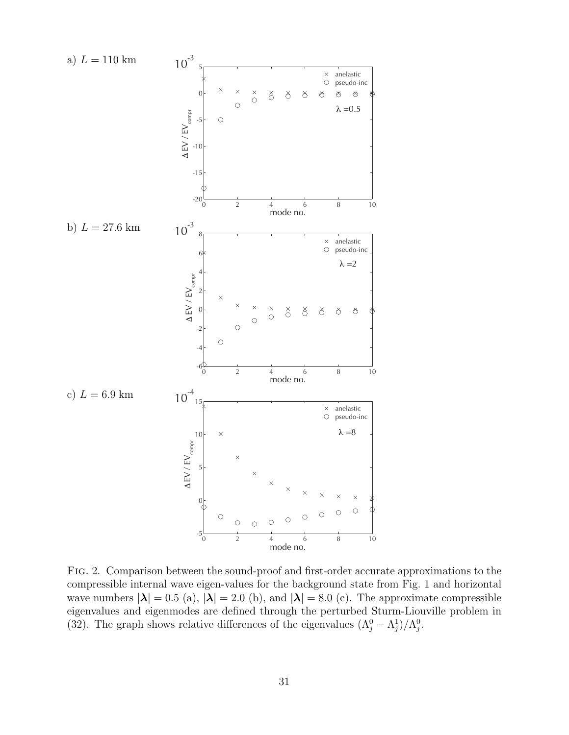

Fig. 2. Comparison between the sound-proof and first-order accurate approximations to the compressible internal wave eigen-values for the background state from Fig. 1 and horizontal wave numbers  $|\lambda| = 0.5$  (a),  $|\lambda| = 2.0$  (b), and  $|\lambda| = 8.0$  (c). The approximate compressible eigenvalues and eigenmodes are defined through the perturbed Sturm-Liouville problem in (32). The graph shows relative differences of the eigenvalues  $(\Lambda_j^0 - \Lambda_j^1)/\Lambda_j^0$ .